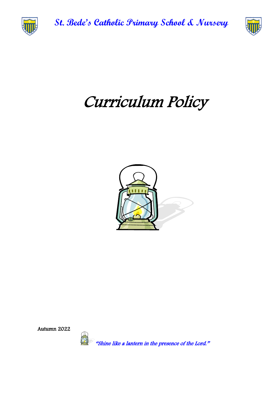

**St. Bede's Catholic Primary School & Nursery**



# Curriculum Policy



Autumn 2022

"Shine like a lantern in the presence of the Lord."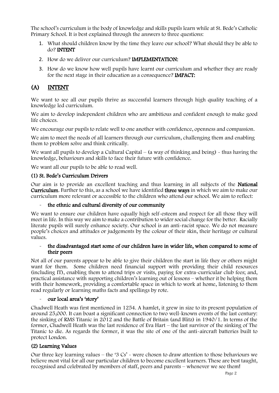The school's curriculum is the body of knowledge and skills pupils learn while at St. Bede's Catholic Primary School. It is best explained through the answers to three questions:

- 1. What should children know by the time they leave our school? What should they be able to do? INTENT
- 2. How do we deliver our curriculum? IMPLEMENTATION:
- 3. How do we know how well pupils have learnt our curriculum and whether they are ready for the next stage in their education as a consequence? IMPACT:

# (A) INTENT

We want to see all our pupils thrive as successful learners through high quality teaching of a knowledge led curriculum.

We aim to develop independent children who are ambitious and confident enough to make good life choices.

We encourage our pupils to relate well to one another with confidence, openness and compassion.

We aim to meet the needs of all learners through our curriculum, challenging them and enabling them to problem solve and think critically.

We want all pupils to develop a Cultural Capital – (a way of thinking and being)  $\sim$  thus having the knowledge, behaviours and skills to face their future with confidence.

We want all our pupils to be able to read well.

# (1) St. Bede's Curriculum Drivers

Our aim is to provide an excellent teaching and thus learning in all subjects of the National Curriculum. Further to this, as a school we have identified three ways in which we aim to make our curriculum more relevant or accessible to the children who attend our school. We aim to reflect:

# the ethnic and cultural diversity of our community

We want to ensure our children have equally high self-esteem and respect for all those they will meet in life. In this way we aim to make a contribution to wider social change for the better. Racially literate pupils will surely enhance society. Our school is an anti-racist space. We do not measure people's choices and attitudes or judgements by the colour of their skin, their heritage or cultural values.

#### - the disadvantaged start some of our children have in wider life, when compared to some of their peers

Not all of our parents appear to be able to give their children the start in life they or others might want for them. Some children need financial support with providing their child resources (including IT), enabling them to attend trips or visits, paying for extra-curricular club fees; and, practical assistance with supporting children's learning out of lessons – whether it be helping them with their homework, providing a comfortable space in which to work at home, listening to them read regularly or learning maths facts and spellings by rote.

# our local area's 'story'

Chadwell Heath was first mentioned in 1254. A hamlet, it grew in size to its present population of around 25,000. It can boast a significant connection to two well-known events of the last century: the sinking of RMS Titanic in 2012 and the Battle of Britain (and Blitz) in 1940/1. In terms of the former, Chadwell Heath was the last residence of Eva Hart – the last survivor of the sinking of The Titanic to die. As regards the former, it was the site of one of the anti-aircraft batteries built to protect London.

# (2) Learning Values

Our three key learning values – the '3  $Cs'$  - were chosen to draw attention to those behaviours we believe most vital for all our particular children to become excellent learners. These are best taught, recognised and celebrated by members of staff, peers and parents – whenever we see them!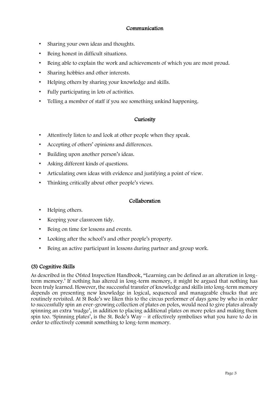# Communication

- Sharing your own ideas and thoughts.
- Being honest in difficult situations.
- Being able to explain the work and achievements of which you are most proud.
- Sharing hobbies and other interests.
- Helping others by sharing your knowledge and skills.
- Fully participating in lots of activities.
- Telling a member of staff if you see something unkind happening.

# **Curiosity**

- Attentively listen to and look at other people when they speak.
- Accepting of others' opinions and differences.
- Building upon another person's ideas.
- Asking different kinds of questions.
- Articulating own ideas with evidence and justifying a point of view.
- Thinking critically about other people's views.

# Collaboration

- Helping others.
- Keeping your classroom tidy.
- Being on time for lessons and events.
- Looking after the school's and other people's property.
- Being an active participant in lessons during partner and group work.

# (3) Cognitive Skills

As described in the Ofsted Inspection Handbook, "Learning can be defined as an alteration in longterm memory.' If nothing has altered in long-term memory, it might be argued that nothing has been truly learned. However, the successful transfer of knowledge and skills into long-term memory depends on presenting new knowledge in logical, sequenced and manageable chucks that are routinely revisited. At St Bede's we liken this to the circus performer of days gone by who in order to successfully spin an ever-growing collection of plates on poles, would need to give plates already spinning an extra 'nudge', in addition to placing additional plates on more poles and making them spin too. 'Spinning plates', is the St. Bede's Way – it effectively symbolises what you have to do in order to effectively commit something to long-term memory.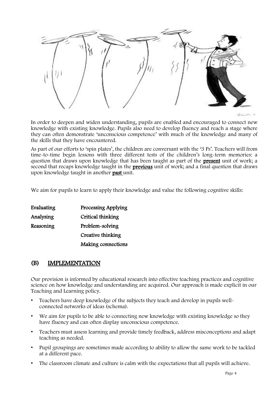

In order to deepen and widen understanding, pupils are enabled and encouraged to connect new knowledge with existing knowledge. Pupils also need to develop fluency and reach a stage where they can often demonstrate 'unconscious competence' with much of the knowledge and many of the skills that they have encountered.

As part of our efforts to 'spin plates', the children are conversant with the '3 Ps'. Teachers will from time-to-time begin lessons with three different tests of the children's long-term memories: a question that draws upon knowledge that has been taught as part of the **present** unit of work; a second that recaps knowledge taught in the **previous** unit of work; and a final question that draws upon knowledge taught in another past unit.

We aim for pupils to learn to apply their knowledge and value the following cognitive skills:

| Evaluating | Processing Applying |
|------------|---------------------|
| Analysing  | Critical thinking   |
| Reasoning  | Problem-solving     |
|            | Creative thinking   |
|            | Making connections  |

# (B) IMPLEMENTATION

Our provision is informed by educational research into effective teaching practices and cognitive science on how knowledge and understanding are acquired. Our approach is made explicit in our Teaching and Learning policy.

- Teachers have deep knowledge of the subjects they teach and develop in pupils wellconnected networks of ideas (schema).
- We aim for pupils to be able to connecting new knowledge with existing knowledge so they have fluency and can often display unconscious competence.
- Teachers must assess learning and provide timely feedback, address misconceptions and adapt teaching as needed.
- Pupil groupings are sometimes made according to ability to allow the same work to be tackled at a different pace.
- The classroom climate and culture is calm with the expectations that all pupils will achieve.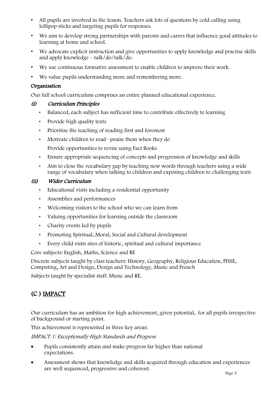- All pupils are involved in the lesson. Teachers ask lots of questions by cold calling using lollipop sticks and targeting pupils for responses.
- We aim to develop strong partnerships with parents and carers that influence good attitudes to learning at home and school.
- We advocate explicit instruction and give opportunities to apply knowledge and practise skills and apply knowledge – talk/do/talk/do.
- We use continuous formative assessment to enable children to improve their work.
- We value pupils understanding more and remembering more.

# Organisation

Our full school curriculum comprises an entire planned educational experience.

# (i) Curriculum Principles

- Balanced, each subject has sufficient time to contribute effectively to learning
- Provide high quality texts
- Prioritise the teaching of reading first and foremost
- Motivate children to read –praise them when they do
	- Provide opportunities to revise using Fact Books
- Ensure appropriate sequencing of concepts and progression of knowledge and skills
- Aim to close the vocabulary gap by teaching new words through teachers using a wide range of vocabulary when talking to children and exposing children to challenging texts

# (ii) Wider Curriculum

- Educational visits including a residential opportunity
- Assemblies and performances
- Welcoming visitors to the school who we can learn from
- Valuing opportunities for learning outside the classroom
- Charity events led by pupils
- Promoting Spiritual, Moral, Social and Cultural development
- Every child visits sites of historic, spiritual and cultural importance

Core subjects: English, Maths, Science and RE

Discrete subjects taught by class teachers: History, Geography, Religious Education, PHSE, Computing, Art and Design, Design and Technology, Music and French

Subjects taught by specialist staff: Music and RE.

# (C ) IMPACT

Our curriculum has an ambition for high achievement, given potential, for all pupils irrespective of background or starting point.

This achievement is represented in three key areas:

IMPACT 1: Exceptionally High Standards and Progress

- Pupils consistently attain and make progress far higher than national expectations.
- Assessment shows that knowledge and skills acquired through education and experiences are well sequenced, progressive and coherent.